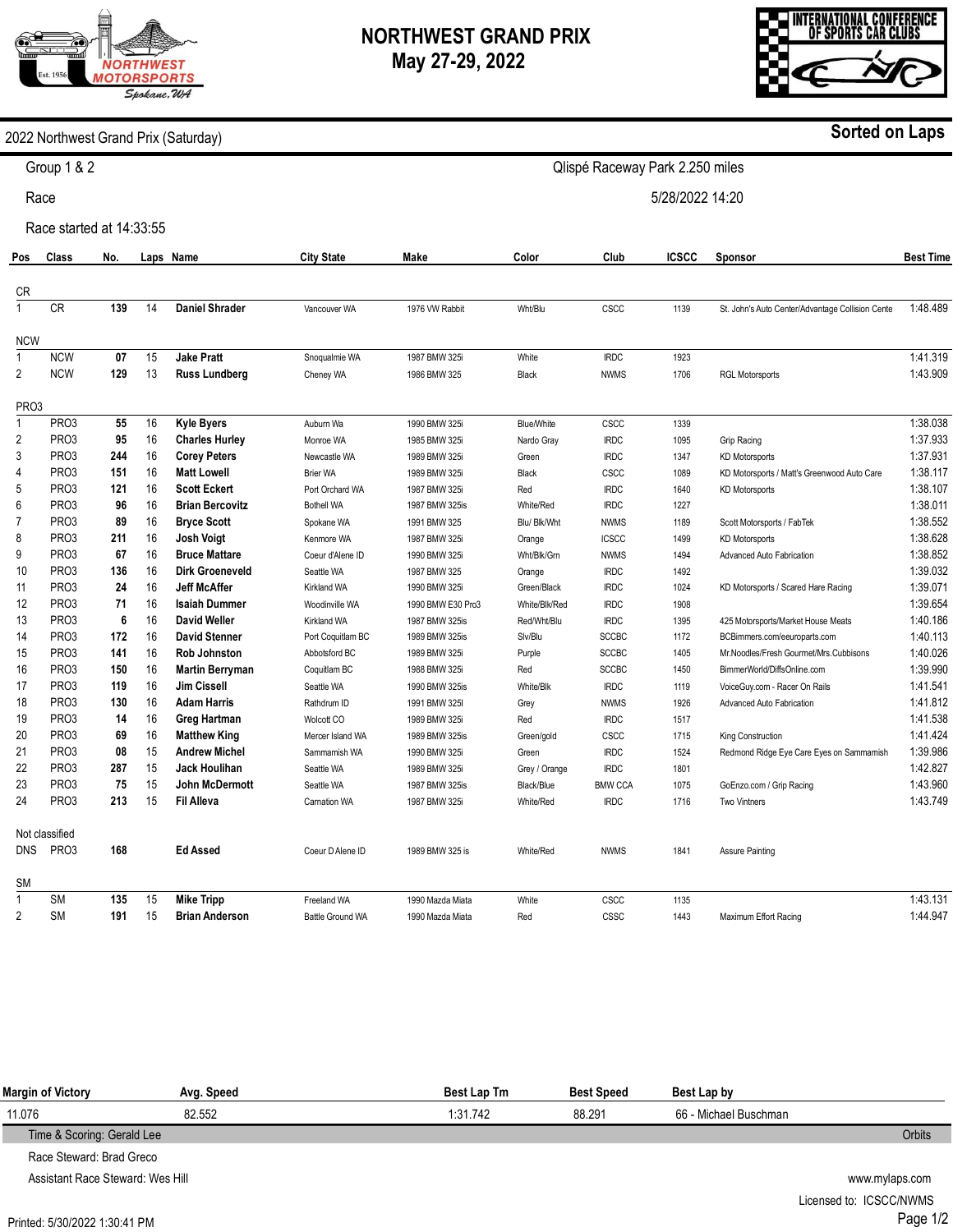# **NORTHWEST GRAND PRIX**

**May 27-29, 2022** 

2022 Northwest Grand Prix (Saturday)

Group 1 & 2

Race

| Assistant Race Steward: Wes Hill |  |
|----------------------------------|--|
| Printed: 5/30/2022 1:30:41 PM    |  |

Qlispé Raceway Park 2.250 miles

5/28/2022 14:20

|                   | Race started at 14:33:55 |     |    |                        |                         |                   |                   |                |       |                                                  |                  |  |
|-------------------|--------------------------|-----|----|------------------------|-------------------------|-------------------|-------------------|----------------|-------|--------------------------------------------------|------------------|--|
| Pos               | Class                    | No. |    | Laps Name              | <b>City State</b>       | Make              | Color             | Club           | ICSCC | <b>Sponsor</b>                                   | <b>Best Time</b> |  |
| <b>CR</b>         |                          |     |    |                        |                         |                   |                   |                |       |                                                  |                  |  |
|                   | CR                       | 139 | 14 | <b>Daniel Shrader</b>  | Vancouver WA            | 1976 VW Rabbit    | Wht/Blu           | CSCC           | 1139  | St. John's Auto Center/Advantage Collision Cente | 1:48.489         |  |
| <b>NCW</b>        |                          |     |    |                        |                         |                   |                   |                |       |                                                  |                  |  |
| $\mathbf{1}$      | <b>NCW</b>               | 07  | 15 | <b>Jake Pratt</b>      | Snoqualmie WA           | 1987 BMW 325i     | White             | <b>IRDC</b>    | 1923  |                                                  | 1:41.319         |  |
| $\overline{2}$    | <b>NCW</b>               | 129 | 13 | <b>Russ Lundberg</b>   | Cheney WA               | 1986 BMW 325      | Black             | <b>NWMS</b>    | 1706  | <b>RGL Motorsports</b>                           | 1:43.909         |  |
| PR <sub>O</sub> 3 |                          |     |    |                        |                         |                   |                   |                |       |                                                  |                  |  |
| $\mathbf{1}$      | PR <sub>O</sub> 3        | 55  | 16 | <b>Kyle Byers</b>      | Auburn Wa               | 1990 BMW 325i     | <b>Blue/White</b> | CSCC           | 1339  |                                                  | 1:38.038         |  |
| 2                 | PR <sub>O</sub> 3        | 95  | 16 | <b>Charles Hurley</b>  | Monroe WA               | 1985 BMW 325i     | Nardo Gray        | <b>IRDC</b>    | 1095  | Grip Racing                                      | 1:37.933         |  |
| 3                 | PR <sub>O</sub> 3        | 244 | 16 | <b>Corey Peters</b>    | Newcastle WA            | 1989 BMW 325i     | Green             | <b>IRDC</b>    | 1347  | <b>KD Motorsports</b>                            | 1:37.931         |  |
| 4                 | PR <sub>O</sub> 3        | 151 | 16 | <b>Matt Lowell</b>     | <b>Brier WA</b>         | 1989 BMW 325i     | Black             | CSCC           | 1089  | KD Motorsports / Matt's Greenwood Auto Care      | 1:38.117         |  |
| 5                 | PR <sub>O</sub> 3        | 121 | 16 | <b>Scott Eckert</b>    | Port Orchard WA         | 1987 BMW 325i     | Red               | <b>IRDC</b>    | 1640  | <b>KD Motorsports</b>                            | 1:38.107         |  |
| 6                 | PR <sub>O</sub> 3        | 96  | 16 | <b>Brian Bercovitz</b> | <b>Bothell WA</b>       | 1987 BMW 325is    | White/Red         | <b>IRDC</b>    | 1227  |                                                  | 1:38.011         |  |
| $\overline{7}$    | PR <sub>O</sub> 3        | 89  | 16 | <b>Bryce Scott</b>     | Spokane WA              | 1991 BMW 325      | Blu/ Blk/Wht      | <b>NWMS</b>    | 1189  | Scott Motorsports / FabTek                       | 1:38.552         |  |
| 8                 | PR <sub>O3</sub>         | 211 | 16 | <b>Josh Voigt</b>      | Kenmore WA              | 1987 BMW 325i     | Orange            | <b>ICSCC</b>   | 1499  | <b>KD Motorsports</b>                            | 1:38.628         |  |
| 9                 | PR <sub>O</sub> 3        | 67  | 16 | <b>Bruce Mattare</b>   | Coeur d'Alene ID        | 1990 BMW 325i     | Wht/Blk/Grn       | <b>NWMS</b>    | 1494  | <b>Advanced Auto Fabrication</b>                 | 1:38.852         |  |
| 10                | PR <sub>O</sub> 3        | 136 | 16 | <b>Dirk Groeneveld</b> | Seattle WA              | 1987 BMW 325      | Orange            | <b>IRDC</b>    | 1492  |                                                  | 1:39.032         |  |
| 11                | PR <sub>O</sub> 3        | 24  | 16 | <b>Jeff McAffer</b>    | <b>Kirkland WA</b>      | 1990 BMW 325i     | Green/Black       | <b>IRDC</b>    | 1024  | KD Motorsports / Scared Hare Racing              | 1:39.071         |  |
| 12                | PR <sub>O</sub> 3        | 71  | 16 | <b>Isaiah Dummer</b>   | Woodinville WA          | 1990 BMW E30 Pro3 | White/Blk/Red     | <b>IRDC</b>    | 1908  |                                                  | 1:39.654         |  |
| 13                | PR <sub>O</sub> 3        | 6   | 16 | <b>David Weller</b>    | Kirkland WA             | 1987 BMW 325is    | Red/Wht/Blu       | <b>IRDC</b>    | 1395  | 425 Motorsports/Market House Meats               | 1:40.186         |  |
| 14                | PR <sub>O</sub> 3        | 172 | 16 | <b>David Stenner</b>   | Port Coquitlam BC       | 1989 BMW 325is    | Slv/Blu           | <b>SCCBC</b>   | 1172  | BCBimmers.com/eeuroparts.com                     | 1:40.113         |  |
| 15                | PR <sub>O</sub> 3        | 141 | 16 | <b>Rob Johnston</b>    | Abbotsford BC           | 1989 BMW 325i     | Purple            | <b>SCCBC</b>   | 1405  | Mr.Noodles/Fresh Gourmet/Mrs.Cubbisons           | 1:40.026         |  |
| 16                | PR <sub>O</sub> 3        | 150 | 16 | <b>Martin Berryman</b> | Coquitlam BC            | 1988 BMW 325i     | Red               | <b>SCCBC</b>   | 1450  | BimmerWorld/DiffsOnline.com                      | 1:39.990         |  |
| 17                | PR <sub>O</sub> 3        | 119 | 16 | <b>Jim Cissell</b>     | Seattle WA              | 1990 BMW 325is    | White/Blk         | <b>IRDC</b>    | 1119  | VoiceGuy.com - Racer On Rails                    | 1:41.541         |  |
| 18                | PR <sub>O</sub> 3        | 130 | 16 | <b>Adam Harris</b>     | Rathdrum ID             | 1991 BMW 325I     | Grey              | <b>NWMS</b>    | 1926  | Advanced Auto Fabrication                        | 1:41.812         |  |
| 19                | PR <sub>O</sub> 3        | 14  | 16 | Greg Hartman           | Wolcott CO              | 1989 BMW 325i     | Red               | <b>IRDC</b>    | 1517  |                                                  | 1:41.538         |  |
| 20                | PR <sub>O</sub> 3        | 69  | 16 | <b>Matthew King</b>    | Mercer Island WA        | 1989 BMW 325is    | Green/gold        | CSCC           | 1715  | King Construction                                | 1:41.424         |  |
| 21                | PR <sub>O</sub> 3        | 08  | 15 | <b>Andrew Michel</b>   | Sammamish WA            | 1990 BMW 325i     | Green             | <b>IRDC</b>    | 1524  | Redmond Ridge Eye Care Eyes on Sammamish         | 1:39.986         |  |
| 22                | PR <sub>O</sub> 3        | 287 | 15 | <b>Jack Houlihan</b>   | Seattle WA              | 1989 BMW 325i     | Grey / Orange     | <b>IRDC</b>    | 1801  |                                                  | 1:42.827         |  |
| 23                | PR <sub>O</sub> 3        | 75  | 15 | <b>John McDermott</b>  | Seattle WA              | 1987 BMW 325is    | Black/Blue        | <b>BMW CCA</b> | 1075  | GoEnzo.com / Grip Racing                         | 1:43.960         |  |
| 24                | PR <sub>O3</sub>         | 213 | 15 | <b>Fil Alleva</b>      | Carnation WA            | 1987 BMW 325i     | White/Red         | <b>IRDC</b>    | 1716  | <b>Two Vintners</b>                              | 1:43.749         |  |
|                   | Not classified           |     |    |                        |                         |                   |                   |                |       |                                                  |                  |  |
| <b>DNS</b>        | PR <sub>O</sub> 3        | 168 |    | <b>Ed Assed</b>        | Coeur D Alene ID        | 1989 BMW 325 is   | <b>White/Red</b>  | <b>NWMS</b>    | 1841  | <b>Assure Painting</b>                           |                  |  |
| SΜ                |                          |     |    |                        |                         |                   |                   |                |       |                                                  |                  |  |
| $\mathbf{1}$      | <b>SM</b>                | 135 | 15 | <b>Mike Tripp</b>      | Freeland WA             | 1990 Mazda Miata  | White             | CSCC           | 1135  |                                                  | 1:43.131         |  |
| $\overline{2}$    | <b>SM</b>                | 191 | 15 | <b>Brian Anderson</b>  | <b>Battle Ground WA</b> | 1990 Mazda Miata  | Red               | CSSC           | 1443  | Maximum Effort Racing                            | 1:44.947         |  |





**Sorted on Laps**

www.mylaps.com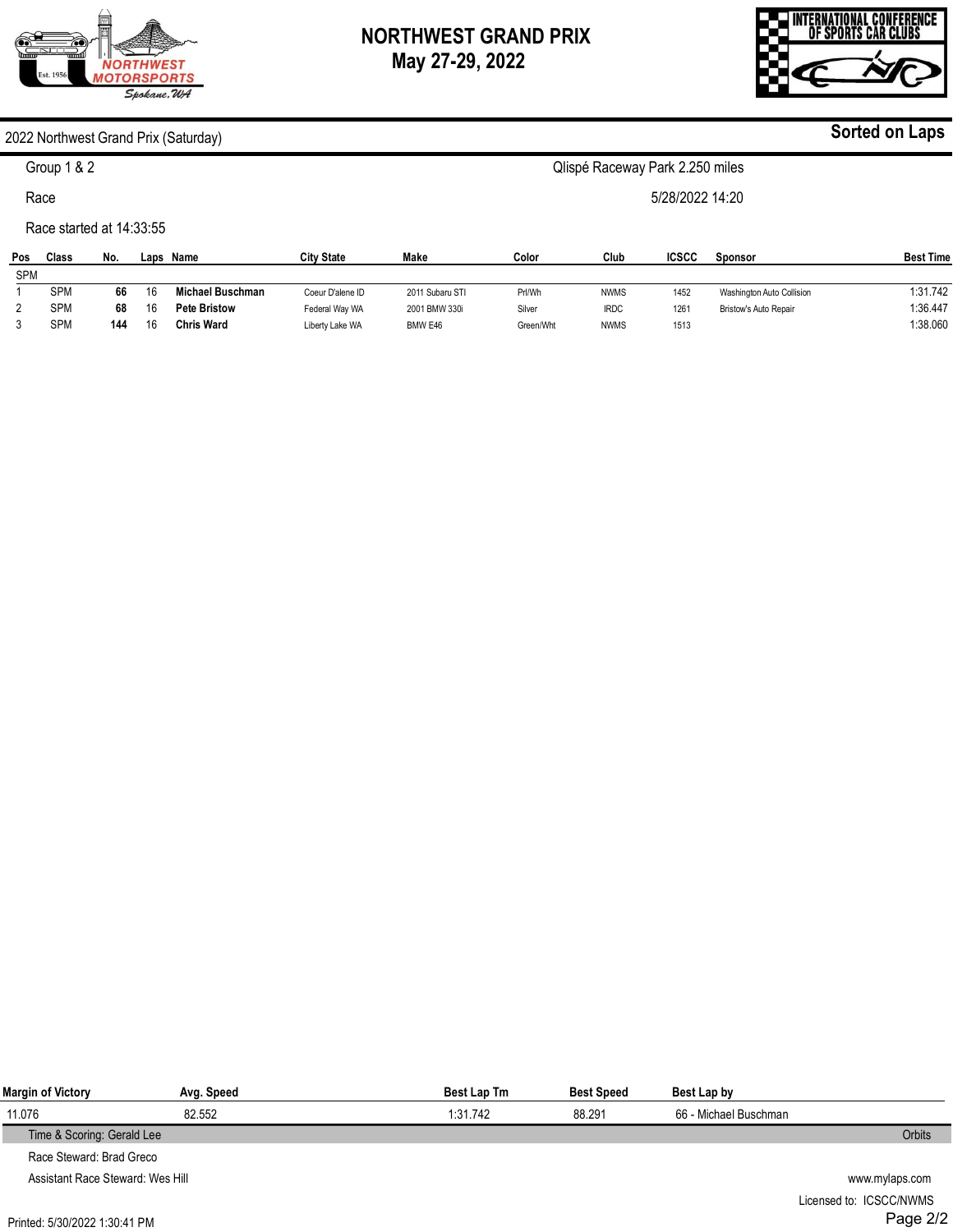## **NORTHWEST GRAND PRIX May 27-29, 2022**

#### 2022 Northwest Grand Prix (Saturday)

Group 1 & 2

Race

Race started at 14:33:55

| Pos        | Class      | No. | Laps | Name                | <b>City State</b> | Make            | Color     | Club        | <b>ICSCC</b> | Sponsor                      | <b>Best Time</b> |
|------------|------------|-----|------|---------------------|-------------------|-----------------|-----------|-------------|--------------|------------------------------|------------------|
| <b>SPM</b> |            |     |      |                     |                   |                 |           |             |              |                              |                  |
|            | <b>SPM</b> | 66  | 16   | Michael Buschman    | Coeur D'alene ID  | 2011 Subaru STI | Prl/Wh    | <b>NWMS</b> | 1452         | Washington Auto Collision    | 1:31.742         |
|            | <b>SPM</b> | 68  | 16   | <b>Pete Bristow</b> | Federal Wav WA    | 2001 BMW 330i   | Silver    | <b>IRDC</b> | 1261         | <b>Bristow's Auto Repair</b> | 1:36.447         |
|            | <b>SPM</b> | 144 | 16   | <b>Chris Ward</b>   | Liberty Lake WA   | BMW E46         | Green/Wht | <b>NWMS</b> | 1513         |                              | 1:38.060         |

| Margin of Victory                | Avg. Speed | <b>Best Lap Tm</b> | <b>Best Speed</b> | Best Lap by           |                |
|----------------------------------|------------|--------------------|-------------------|-----------------------|----------------|
| 11.076                           | 82.552     | 1:31.742           | 88.291            | 66 - Michael Buschman |                |
| Time & Scoring: Gerald Lee       |            |                    |                   |                       | <b>Orbits</b>  |
| Race Steward: Brad Greco         |            |                    |                   |                       |                |
| Assistant Race Steward: Wes Hill |            |                    |                   |                       | www.mylaps.com |
|                                  |            |                    |                   |                       | .              |

# Licensed to: ICSCC/NWMS Page 2/2



**Sorted on Laps**



Qlispé Raceway Park 2.250 miles

5/28/2022 14:20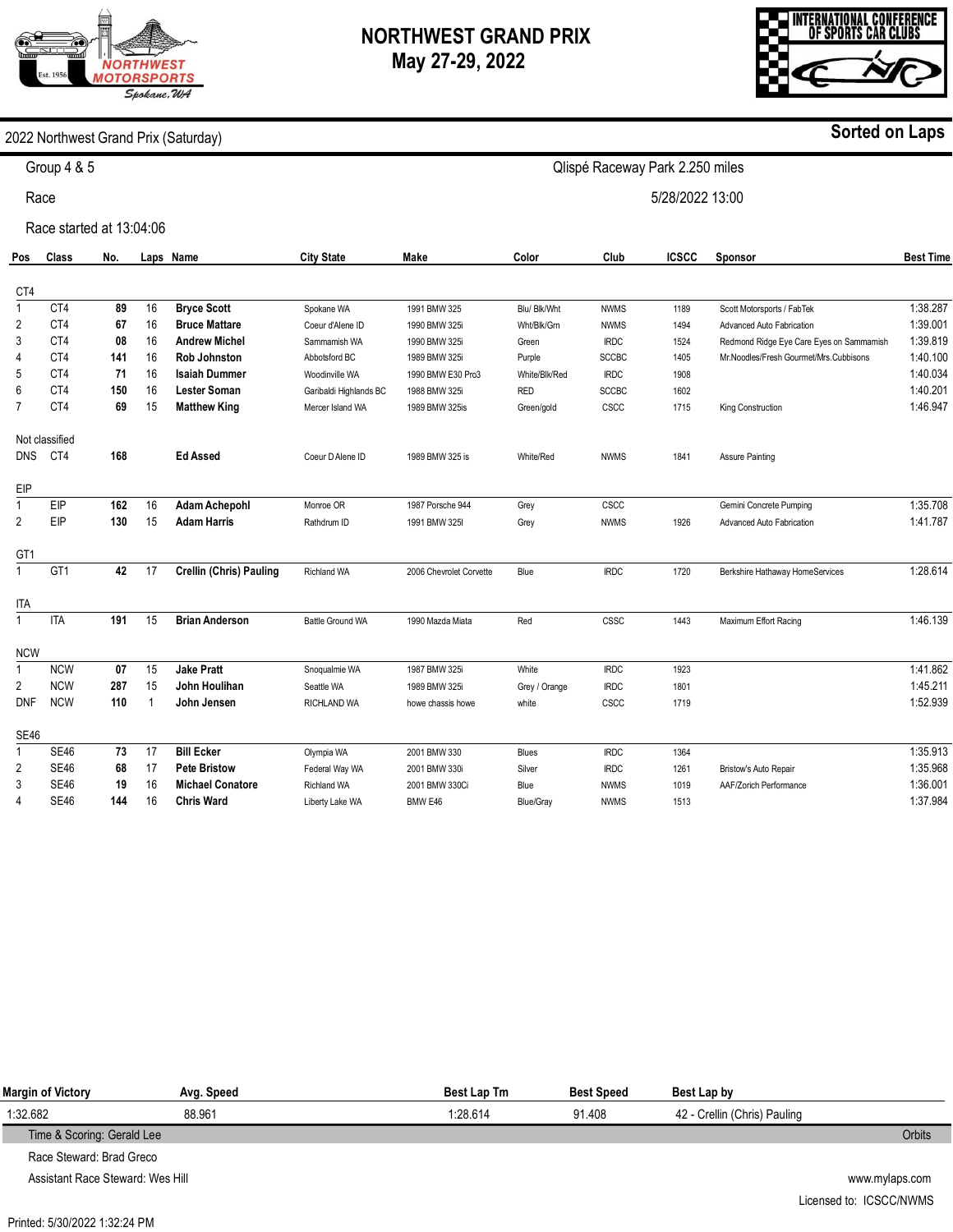# **ORTHWEST MOTORSPORTS** Spokane, WA

### **NORTHWEST GRAND PRIX May 27-29, 2022**

Qlispé Raceway Park 2.250 miles

5/28/2022 13:00



#### 2022 Northwest Grand Prix (Saturday)

Group 4 & 5

Race

Race started at 13:04:06

| Pos             | <b>Class</b>   | No. |    | Laps Name                      | <b>City State</b>      | Make                    | Color         | Club         | <b>ICSCC</b> | Sponsor                                  | <b>Best Time</b> |
|-----------------|----------------|-----|----|--------------------------------|------------------------|-------------------------|---------------|--------------|--------------|------------------------------------------|------------------|
| CT4             |                |     |    |                                |                        |                         |               |              |              |                                          |                  |
| $\mathbf{1}$    | CT4            | 89  | 16 | <b>Bryce Scott</b>             | Spokane WA             | 1991 BMW 325            | Blu/ Blk/Wht  | <b>NWMS</b>  | 1189         | Scott Motorsports / FabTek               | 1:38.287         |
| $\overline{2}$  | CT4            | 67  | 16 | <b>Bruce Mattare</b>           | Coeur d'Alene ID       | 1990 BMW 325i           | Wht/Blk/Grn   | <b>NWMS</b>  | 1494         | Advanced Auto Fabrication                | 1:39.001         |
| 3               | CT4            | 08  | 16 | <b>Andrew Michel</b>           | Sammamish WA           | 1990 BMW 325i           | Green         | <b>IRDC</b>  | 1524         | Redmond Ridge Eye Care Eyes on Sammamish | 1:39.819         |
| 4               | CT4            | 141 | 16 | <b>Rob Johnston</b>            | Abbotsford BC          | 1989 BMW 325i           | Purple        | <b>SCCBC</b> | 1405         | Mr.Noodles/Fresh Gourmet/Mrs.Cubbisons   | 1:40.100         |
| 5               | CT4            | 71  | 16 | <b>Isaiah Dummer</b>           | Woodinville WA         | 1990 BMW E30 Pro3       | White/Blk/Red | <b>IRDC</b>  | 1908         |                                          | 1:40.034         |
| 6               | CT4            | 150 | 16 | <b>Lester Soman</b>            | Garibaldi Highlands BC | 1988 BMW 325i           | <b>RED</b>    | <b>SCCBC</b> | 1602         |                                          | 1:40.201         |
| $\overline{7}$  | CT4            | 69  | 15 | <b>Matthew King</b>            | Mercer Island WA       | 1989 BMW 325is          | Green/gold    | CSCC         | 1715         | King Construction                        | 1:46.947         |
|                 | Not classified |     |    |                                |                        |                         |               |              |              |                                          |                  |
| <b>DNS</b>      | CT4            | 168 |    | <b>Ed Assed</b>                | Coeur D Alene ID       | 1989 BMW 325 is         | White/Red     | <b>NWMS</b>  | 1841         | <b>Assure Painting</b>                   |                  |
| EIP             |                |     |    |                                |                        |                         |               |              |              |                                          |                  |
| $\mathbf{1}$    | EIP            | 162 | 16 | <b>Adam Achepohl</b>           | Monroe OR              | 1987 Porsche 944        | Grey          | CSCC         |              | Gemini Concrete Pumping                  | 1:35.708         |
| 2               | EIP            | 130 | 15 | <b>Adam Harris</b>             | Rathdrum ID            | 1991 BMW 325I           | Grey          | <b>NWMS</b>  | 1926         | Advanced Auto Fabrication                | 1:41.787         |
| GT <sub>1</sub> |                |     |    |                                |                        |                         |               |              |              |                                          |                  |
| $\mathbf{1}$    | GT1            | 42  | 17 | <b>Crellin (Chris) Pauling</b> | Richland WA            | 2006 Chevrolet Corvette | Blue          | <b>IRDC</b>  | 1720         | Berkshire Hathaway HomeServices          | 1:28.614         |
| <b>ITA</b>      |                |     |    |                                |                        |                         |               |              |              |                                          |                  |
| $\mathbf{1}$    | <b>ITA</b>     | 191 | 15 | <b>Brian Anderson</b>          | Battle Ground WA       | 1990 Mazda Miata        | Red           | CSSC         | 1443         | Maximum Effort Racing                    | 1:46.139         |
| <b>NCW</b>      |                |     |    |                                |                        |                         |               |              |              |                                          |                  |
| $\mathbf{1}$    | <b>NCW</b>     | 07  | 15 | <b>Jake Pratt</b>              | Snoqualmie WA          | 1987 BMW 325i           | White         | <b>IRDC</b>  | 1923         |                                          | 1:41.862         |
| $\overline{2}$  | <b>NCW</b>     | 287 | 15 | John Houlihan                  | Seattle WA             | 1989 BMW 325i           | Grey / Orange | <b>IRDC</b>  | 1801         |                                          | 1:45.211         |
| <b>DNF</b>      | <b>NCW</b>     | 110 |    | John Jensen                    | RICHLAND WA            | howe chassis howe       | white         | CSCC         | 1719         |                                          | 1:52.939         |
| SE46            |                |     |    |                                |                        |                         |               |              |              |                                          |                  |
| $\mathbf{1}$    | <b>SE46</b>    | 73  | 17 | <b>Bill Ecker</b>              | Olympia WA             | 2001 BMW 330            | Blues         | <b>IRDC</b>  | 1364         |                                          | 1:35.913         |
| 2               | <b>SE46</b>    | 68  | 17 | <b>Pete Bristow</b>            | Federal Way WA         | 2001 BMW 330i           | Silver        | <b>IRDC</b>  | 1261         | Bristow's Auto Repair                    | 1:35.968         |
| 3               | <b>SE46</b>    | 19  | 16 | <b>Michael Conatore</b>        | <b>Richland WA</b>     | 2001 BMW 330Ci          | Blue          | <b>NWMS</b>  | 1019         | AAF/Zorich Performance                   | 1:36.001         |
| 4               | <b>SE46</b>    | 144 | 16 | <b>Chris Ward</b>              | Liberty Lake WA        | BMW E46                 | Blue/Gray     | <b>NWMS</b>  | 1513         |                                          | 1:37.984         |

| Margin of Victory          | Avg. Speed | <b>Best Lap Tm</b> | <b>Best Speed</b> | Best Lap by                  |               |
|----------------------------|------------|--------------------|-------------------|------------------------------|---------------|
| 1:32.682                   | 88.961     | 1:28.614           | 91.408            | 42 - Crellin (Chris) Pauling |               |
| Time & Scoring: Gerald Lee |            |                    |                   |                              | <b>Orbits</b> |
| Race Steward: Brad Greco   |            |                    |                   |                              |               |

Assistant Race Steward: Wes Hill

**Sorted on Laps**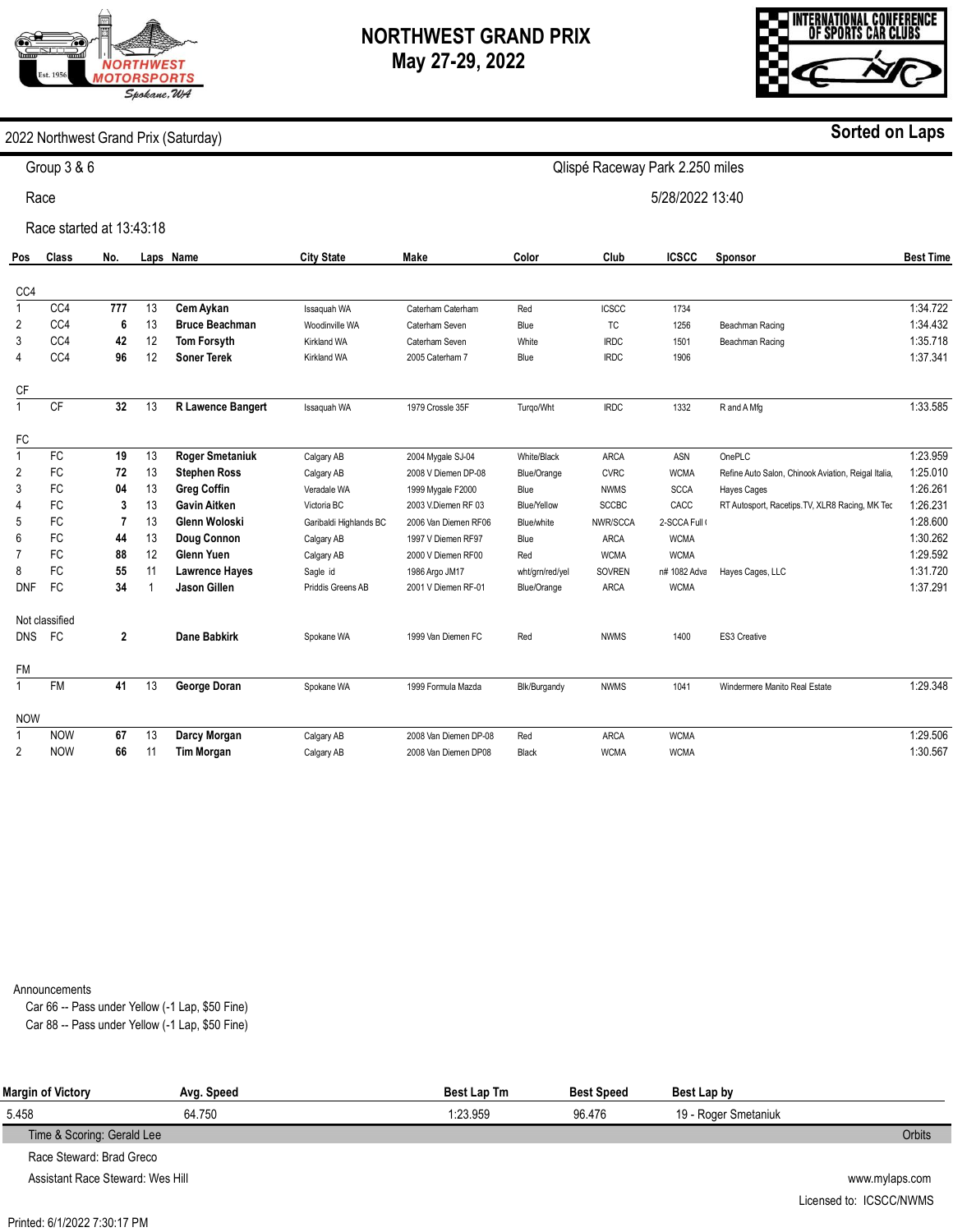# **ORTHWES1 IOTORSPORTS** Spokane, WA

### **NORTHWEST GRAND PRIX May 27-29, 2022**

Qlispé Raceway Park 2.250 miles

5/28/2022 13:40



**Sorted on Laps**

2022 Northwest Grand Prix (Saturday)

Group 3 & 6

Race

Race started at 13:43:18

| Pos            | Class          | No.          |    | Laps Name              | <b>City State</b>      | Make                  | Color           | Club          | <b>ICSCC</b>  | Sponsor                                             | <b>Best Time</b> |
|----------------|----------------|--------------|----|------------------------|------------------------|-----------------------|-----------------|---------------|---------------|-----------------------------------------------------|------------------|
| CC4            |                |              |    |                        |                        |                       |                 |               |               |                                                     |                  |
| $\mathbf{1}$   | CC4            | 777          | 13 | Cem Aykan              | Issaquah WA            | Caterham Caterham     | Red             | <b>ICSCC</b>  | 1734          |                                                     | 1:34.722         |
| 2              | CC4            | 6            | 13 | <b>Bruce Beachman</b>  | Woodinville WA         | Caterham Seven        | Blue            | <b>TC</b>     | 1256          | Beachman Racing                                     | 1:34.432         |
| 3              | CC4            | 42           | 12 | <b>Tom Forsyth</b>     | <b>Kirkland WA</b>     | Caterham Seven        | White           | <b>IRDC</b>   | 1501          | Beachman Racing                                     | 1:35.718         |
| 4              | CC4            | 96           | 12 | <b>Soner Terek</b>     | <b>Kirkland WA</b>     | 2005 Caterham 7       | Blue            | <b>IRDC</b>   | 1906          |                                                     | 1:37.341         |
| СF             |                |              |    |                        |                        |                       |                 |               |               |                                                     |                  |
| $\mathbf{1}$   | <b>CF</b>      | 32           | 13 | R Lawence Bangert      | Issaquah WA            | 1979 Crossle 35F      | Turgo/Wht       | <b>IRDC</b>   | 1332          | R and A Mfg                                         | 1:33.585         |
| FC             |                |              |    |                        |                        |                       |                 |               |               |                                                     |                  |
| $\mathbf{1}$   | <b>FC</b>      | 19           | 13 | <b>Roger Smetaniuk</b> | Calgary AB             | 2004 Mygale SJ-04     | White/Black     | <b>ARCA</b>   | ASN           | OnePLC                                              | 1:23.959         |
| 2              | <b>FC</b>      | 72           | 13 | <b>Stephen Ross</b>    | Calgary AB             | 2008 V Diemen DP-08   | Blue/Orange     | <b>CVRC</b>   | <b>WCMA</b>   | Refine Auto Salon, Chinook Aviation, Reigal Italia, | 1:25.010         |
| 3              | FC             | 04           | 13 | <b>Greg Coffin</b>     | Veradale WA            | 1999 Mygale F2000     | Blue            | <b>NWMS</b>   | <b>SCCA</b>   | <b>Hayes Cages</b>                                  | 1:26.261         |
| 4              | FC             | 3            | 13 | Gavin Aitken           | Victoria BC            | 2003 V.Diemen RF 03   | Blue/Yellow     | <b>SCCBC</b>  | CACC          | RT Autosport, Racetips.TV, XLR8 Racing, MK Tec      | 1:26.231         |
| 5              | <b>FC</b>      |              | 13 | Glenn Woloski          | Garibaldi Highlands BC | 2006 Van Diemen RF06  | Blue/white      | NWR/SCCA      | 2-SCCA Full ( |                                                     | 1:28.600         |
| 6              | FC             | 44           | 13 | Doug Connon            | Calgary AB             | 1997 V Diemen RF97    | Blue            | <b>ARCA</b>   | <b>WCMA</b>   |                                                     | 1:30.262         |
| $\overline{7}$ | <b>FC</b>      | 88           | 12 | <b>Glenn Yuen</b>      | Calgary AB             | 2000 V Diemen RF00    | Red             | <b>WCMA</b>   | <b>WCMA</b>   |                                                     | 1:29.592         |
| 8              | <b>FC</b>      | 55           | 11 | <b>Lawrence Hayes</b>  | Sagle id               | 1986 Argo JM17        | wht/grn/red/yel | <b>SOVREN</b> | n# 1082 Adva  | Hayes Cages, LLC                                    | 1:31.720         |
| <b>DNF</b>     | <b>FC</b>      | 34           |    | Jason Gillen           | Priddis Greens AB      | 2001 V Diemen RF-01   | Blue/Orange     | ARCA          | <b>WCMA</b>   |                                                     | 1:37.291         |
|                | Not classified |              |    |                        |                        |                       |                 |               |               |                                                     |                  |
| <b>DNS</b>     | <b>FC</b>      | $\mathbf{2}$ |    | <b>Dane Babkirk</b>    | Spokane WA             | 1999 Van Diemen FC    | Red             | <b>NWMS</b>   | 1400          | <b>ES3 Creative</b>                                 |                  |
| <b>FM</b>      |                |              |    |                        |                        |                       |                 |               |               |                                                     |                  |
| $\mathbf{1}$   | <b>FM</b>      | 41           | 13 | George Doran           | Spokane WA             | 1999 Formula Mazda    | Blk/Burgandy    | <b>NWMS</b>   | 1041          | Windermere Manito Real Estate                       | 1:29.348         |
| <b>NOW</b>     |                |              |    |                        |                        |                       |                 |               |               |                                                     |                  |
| 1              | <b>NOW</b>     | 67           | 13 | Darcy Morgan           | Calgary AB             | 2008 Van Diemen DP-08 | Red             | <b>ARCA</b>   | <b>WCMA</b>   |                                                     | 1:29.506         |
| 2              | <b>NOW</b>     | 66           | 11 | <b>Tim Morgan</b>      | Calgary AB             | 2008 Van Diemen DP08  | Black           | <b>WCMA</b>   | <b>WCMA</b>   |                                                     | 1:30.567         |

Announcements

Car 66 -- Pass under Yellow (-1 Lap, \$50 Fine) Car 88 -- Pass under Yellow (-1 Lap, \$50 Fine)

| Margin of Victory                | Avg. Speed | <b>Best Lap Tm</b> | <b>Best Speed</b> | Best Lap by          |                |
|----------------------------------|------------|--------------------|-------------------|----------------------|----------------|
| 5.458                            | 64.750     | 1:23.959           | 96.476            | 19 - Roger Smetaniuk |                |
| Time & Scoring: Gerald Lee       |            |                    |                   |                      | <b>Orbits</b>  |
| Race Steward: Brad Greco         |            |                    |                   |                      |                |
| Assistant Race Steward: Wes Hill |            |                    |                   |                      | www.mylaps.com |